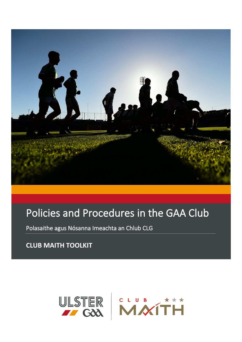

## Policies and Procedures in the GAA Club

Polasaithe agus Nósanna Imeachta an Chlub CLG

**CLUB MAITH TOOLKIT**

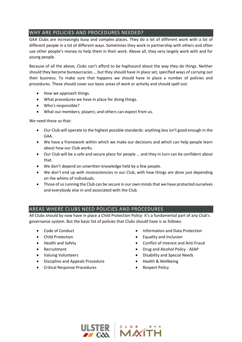## WHY ARE POLICIES AND PROCEDURES NEEDED?

GAA Clubs are increasingly busy and complex places. They do a lot of different work with a lot of different people in a lot of different ways. Sometimes they work in partnership with others and often use other people's money to help them in their work. Above all, they very largely work with and for young people.

Because of all the above, Clubs can't afford to be haphazard about the way they do things. Neither should they become bureaucracies … but they should have in place set, specified ways of carrying out their business. To make sure that happens we should have in place a number of policies and procedures. These should cover our basic areas of work or activity and should spell out:

- How we approach things.
- What procedures we have in place for doing things.
- Who's responsible?
- What our members; players; and others can expect from us.

We need these so that:

- Our Club will operate to the highest possible standards: anything less isn't good enough in the GAA.
- We have a framework within which we make our decisions and which can help people learn about how our Club works.
- Our Club will be a safe and secure place for people … and they in turn can be confident about that.
- We don't depend on unwritten knowledge held by a few people.
- We don't end up with inconsistencies in our Club, with how things are done just depending on the whims of individuals.
- Those of us running the Club can be secure in our own minds that we have protected ourselves and everybody else in and associated with the Club.

## AREAS WHERE CLUBS NEED POLICIES AND PROCEDURES

All Clubs should by now have in place a Child Protection Policy: it's a fundamental part of any Club's governance system. But the basic list of policies that Clubs should have is as follows:

- Code of Conduct
- Child Protection
- Health and Safety
- Recruitment
- Valuing Volunteers
- Discipline and Appeals Procedure
- Critical Response Procedures
- Information and Data Protection
- Equality and Inclusion
- Conflict of Interest and Anti-Fraud
- Drug and Alcohol Policy ASAP
- Disability and Special Needs
- Health & Wellbeing
- Respect Policy